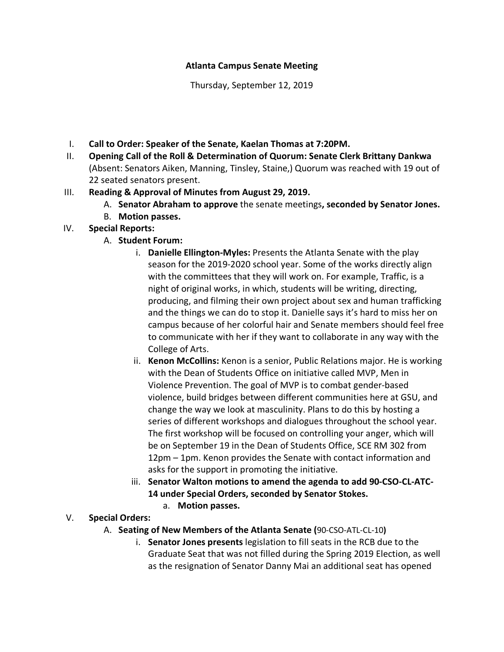#### **Atlanta Campus Senate Meeting**

Thursday, September 12, 2019

- I. **Call to Order: Speaker of the Senate, Kaelan Thomas at 7:20PM.**
- II. **Opening Call of the Roll & Determination of Quorum: Senate Clerk Brittany Dankwa** (Absent: Senators Aiken, Manning, Tinsley, Staine,) Quorum was reached with 19 out of 22 seated senators present.
- III. **Reading & Approval of Minutes from August 29, 2019.** 
	- A. **Senator Abraham to approve** the senate meetings**, seconded by Senator Jones.**
	- B. **Motion passes.**

# IV. **Special Reports:**

## A. **Student Forum:**

- i. **Danielle Ellington-Myles:** Presents the Atlanta Senate with the play season for the 2019-2020 school year. Some of the works directly align with the committees that they will work on. For example, Traffic, is a night of original works, in which, students will be writing, directing, producing, and filming their own project about sex and human trafficking and the things we can do to stop it. Danielle says it's hard to miss her on campus because of her colorful hair and Senate members should feel free to communicate with her if they want to collaborate in any way with the College of Arts.
- ii. **Kenon McCollins:** Kenon is a senior, Public Relations major. He is working with the Dean of Students Office on initiative called MVP, Men in Violence Prevention. The goal of MVP is to combat gender-based violence, build bridges between different communities here at GSU, and change the way we look at masculinity. Plans to do this by hosting a series of different workshops and dialogues throughout the school year. The first workshop will be focused on controlling your anger, which will be on September 19 in the Dean of Students Office, SCE RM 302 from 12pm – 1pm. Kenon provides the Senate with contact information and asks for the support in promoting the initiative.
- iii. **Senator Walton motions to amend the agenda to add 90-CSO-CL-ATC-14 under Special Orders, seconded by Senator Stokes.**
	- a. **Motion passes.**

## V. **Special Orders:**

- A. **Seating of New Members of the Atlanta Senate (**90-CSO-ATL-CL-10**)**
	- i. **Senator Jones presents** legislation to fill seats in the RCB due to the Graduate Seat that was not filled during the Spring 2019 Election, as well as the resignation of Senator Danny Mai an additional seat has opened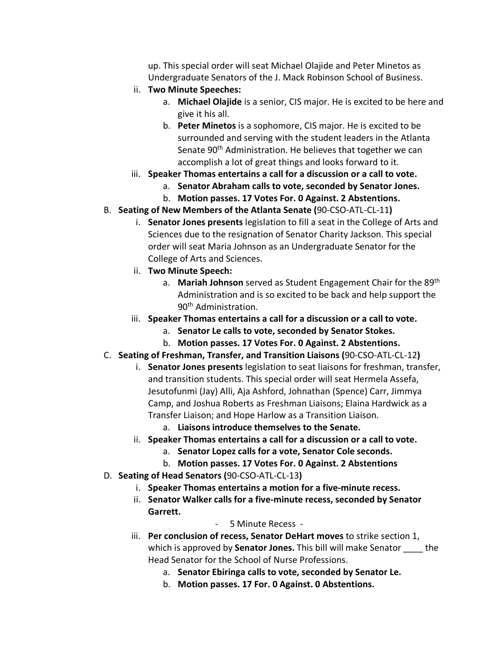up. This special order will seat Michael Olajide and Peter Minetos as Undergraduate Senators of the J. Mack Robinson School of Business.

- ii. **Two Minute Speeches:**
	- a. **Michael Olajide** is a senior, CIS major. He is excited to be here and give it his all.
	- b. **Peter Minetos** is a sophomore, CIS major. He is excited to be surrounded and serving with the student leaders in the Atlanta Senate 90<sup>th</sup> Administration. He believes that together we can accomplish a lot of great things and looks forward to it.
- iii. **Speaker Thomas entertains a call for a discussion or a call to vote.** 
	- a. **Senator Abraham calls to vote, seconded by Senator Jones.**
	- b. **Motion passes. 17 Votes For. 0 Against. 2 Abstentions.**
- B. **Seating of New Members of the Atlanta Senate (**90-CSO-ATL-CL-11**)**
	- i. **Senator Jones presents** legislation to fill a seat in the College of Arts and Sciences due to the resignation of Senator Charity Jackson. This special order will seat Maria Johnson as an Undergraduate Senator for the College of Arts and Sciences.
	- ii. **Two Minute Speech:**
		- a. **Mariah Johnson** served as Student Engagement Chair for the 89th Administration and is so excited to be back and help support the 90th Administration.
	- iii. **Speaker Thomas entertains a call for a discussion or a call to vote.**
		- a. **Senator Le calls to vote, seconded by Senator Stokes.**
		- b. **Motion passes. 17 Votes For. 0 Against. 2 Abstentions.**
- C. **Seating of Freshman, Transfer, and Transition Liaisons (**90-CSO-ATL-CL-12**)**
	- i. **Senator Jones presents** legislation to seat liaisons for freshman, transfer, and transition students. This special order will seat Hermela Assefa, Jesutofunmi (Jay) Alli, Aja Ashford, Johnathan (Spence) Carr, Jimmya Camp, and Joshua Roberts as Freshman Liaisons; Elaina Hardwick as a Transfer Liaison; and Hope Harlow as a Transition Liaison.
		- a. **Liaisons introduce themselves to the Senate.**
	- ii. **Speaker Thomas entertains a call for a discussion or a call to vote.** 
		- a. **Senator Lopez calls for a vote, Senator Cole seconds.**
		- b. **Motion passes. 17 Votes For. 0 Against. 2 Abstentions**
- D. **Seating of Head Senators (**90-CSO-ATL-CL-13**)**
	- i. **Speaker Thomas entertains a motion for a five-minute recess.**
	- ii. **Senator Walker calls for a five-minute recess, seconded by Senator Garrett.**
		- 5 Minute Recess -
	- iii. **Per conclusion of recess, Senator DeHart moves** to strike section 1, which is approved by **Senator Jones.** This bill will make Senator the Head Senator for the School of Nurse Professions.
		- a. **Senator Ebiringa calls to vote, seconded by Senator Le.**
		- b. **Motion passes. 17 For. 0 Against. 0 Abstentions.**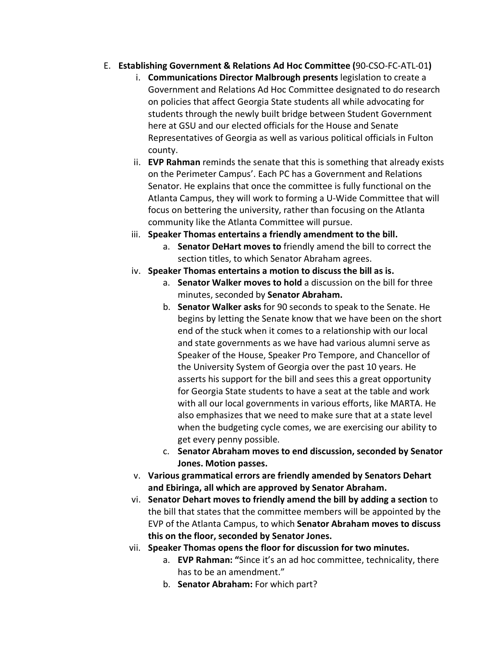- E. **Establishing Government & Relations Ad Hoc Committee (**90-CSO-FC-ATL-01**)**
	- i. **Communications Director Malbrough presents** legislation to create a Government and Relations Ad Hoc Committee designated to do research on policies that affect Georgia State students all while advocating for students through the newly built bridge between Student Government here at GSU and our elected officials for the House and Senate Representatives of Georgia as well as various political officials in Fulton county.
	- ii. **EVP Rahman** reminds the senate that this is something that already exists on the Perimeter Campus'. Each PC has a Government and Relations Senator. He explains that once the committee is fully functional on the Atlanta Campus, they will work to forming a U-Wide Committee that will focus on bettering the university, rather than focusing on the Atlanta community like the Atlanta Committee will pursue.
	- iii. **Speaker Thomas entertains a friendly amendment to the bill.**
		- a. **Senator DeHart moves to** friendly amend the bill to correct the section titles, to which Senator Abraham agrees.
	- iv. **Speaker Thomas entertains a motion to discuss the bill as is.**
		- a. **Senator Walker moves to hold** a discussion on the bill for three minutes, seconded by **Senator Abraham.**
		- b. **Senator Walker asks** for 90 seconds to speak to the Senate. He begins by letting the Senate know that we have been on the short end of the stuck when it comes to a relationship with our local and state governments as we have had various alumni serve as Speaker of the House, Speaker Pro Tempore, and Chancellor of the University System of Georgia over the past 10 years. He asserts his support for the bill and sees this a great opportunity for Georgia State students to have a seat at the table and work with all our local governments in various efforts, like MARTA. He also emphasizes that we need to make sure that at a state level when the budgeting cycle comes, we are exercising our ability to get every penny possible.
		- c. **Senator Abraham moves to end discussion, seconded by Senator Jones. Motion passes.**
	- v. **Various grammatical errors are friendly amended by Senators Dehart and Ebiringa, all which are approved by Senator Abraham.**
	- vi. **Senator Dehart moves to friendly amend the bill by adding a section** to the bill that states that the committee members will be appointed by the EVP of the Atlanta Campus, to which **Senator Abraham moves to discuss this on the floor, seconded by Senator Jones.**
	- vii. **Speaker Thomas opens the floor for discussion for two minutes.**
		- a. **EVP Rahman: "**Since it's an ad hoc committee, technicality, there has to be an amendment."
		- b. **Senator Abraham:** For which part?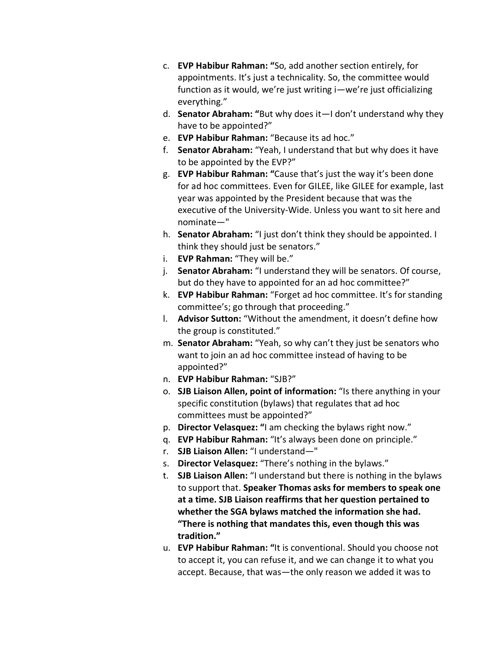- c. **EVP Habibur Rahman: "**So, add another section entirely, for appointments. It's just a technicality. So, the committee would function as it would, we're just writing i—we're just officializing everything."
- d. **Senator Abraham: "**But why does it—I don't understand why they have to be appointed?"
- e. **EVP Habibur Rahman:** "Because its ad hoc."
- f. **Senator Abraham:** "Yeah, I understand that but why does it have to be appointed by the EVP?"
- g. **EVP Habibur Rahman: "**Cause that's just the way it's been done for ad hoc committees. Even for GILEE, like GILEE for example, last year was appointed by the President because that was the executive of the University-Wide. Unless you want to sit here and nominate—"
- h. **Senator Abraham:** "I just don't think they should be appointed. I think they should just be senators."
- i. **EVP Rahman:** "They will be."
- j. **Senator Abraham:** "I understand they will be senators. Of course, but do they have to appointed for an ad hoc committee?"
- k. **EVP Habibur Rahman:** "Forget ad hoc committee. It's for standing committee's; go through that proceeding."
- l. **Advisor Sutton:** "Without the amendment, it doesn't define how the group is constituted."
- m. **Senator Abraham:** "Yeah, so why can't they just be senators who want to join an ad hoc committee instead of having to be appointed?"
- n. **EVP Habibur Rahman:** "SJB?"
- o. **SJB Liaison Allen, point of information:** "Is there anything in your specific constitution (bylaws) that regulates that ad hoc committees must be appointed?"
- p. **Director Velasquez: "**I am checking the bylaws right now."
- q. **EVP Habibur Rahman:** "It's always been done on principle."
- r. **SJB Liaison Allen:** "I understand—"
- s. **Director Velasquez:** "There's nothing in the bylaws."
- t. **SJB Liaison Allen:** "I understand but there is nothing in the bylaws to support that. **Speaker Thomas asks for members to speak one at a time. SJB Liaison reaffirms that her question pertained to whether the SGA bylaws matched the information she had. "There is nothing that mandates this, even though this was tradition."**
- u. **EVP Habibur Rahman: "**It is conventional. Should you choose not to accept it, you can refuse it, and we can change it to what you accept. Because, that was—the only reason we added it was to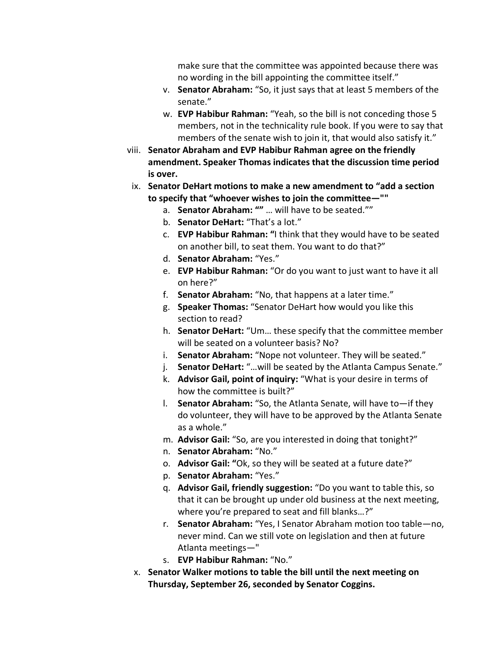make sure that the committee was appointed because there was no wording in the bill appointing the committee itself."

- v. **Senator Abraham:** "So, it just says that at least 5 members of the senate."
- w. **EVP Habibur Rahman:** "Yeah, so the bill is not conceding those 5 members, not in the technicality rule book. If you were to say that members of the senate wish to join it, that would also satisfy it."
- viii. **Senator Abraham and EVP Habibur Rahman agree on the friendly amendment. Speaker Thomas indicates that the discussion time period is over.**
- ix. **Senator DeHart motions to make a new amendment to "add a section to specify that "whoever wishes to join the committee—""**
	- a. **Senator Abraham: ""** … will have to be seated.""
	- b. **Senator DeHart:** "That's a lot."
	- c. **EVP Habibur Rahman: "**I think that they would have to be seated on another bill, to seat them. You want to do that?"
	- d. **Senator Abraham:** "Yes."
	- e. **EVP Habibur Rahman:** "Or do you want to just want to have it all on here?"
	- f. **Senator Abraham:** "No, that happens at a later time."
	- g. **Speaker Thomas:** "Senator DeHart how would you like this section to read?
	- h. **Senator DeHart:** "Um… these specify that the committee member will be seated on a volunteer basis? No?
	- i. **Senator Abraham:** "Nope not volunteer. They will be seated."
	- j. **Senator DeHart:** "…will be seated by the Atlanta Campus Senate."
	- k. **Advisor Gail, point of inquiry:** "What is your desire in terms of how the committee is built?"
	- l. **Senator Abraham:** "So, the Atlanta Senate, will have to—if they do volunteer, they will have to be approved by the Atlanta Senate as a whole."
	- m. **Advisor Gail:** "So, are you interested in doing that tonight?"
	- n. **Senator Abraham:** "No."
	- o. **Advisor Gail: "**Ok, so they will be seated at a future date?"
	- p. **Senator Abraham:** "Yes."
	- q. **Advisor Gail, friendly suggestion:** "Do you want to table this, so that it can be brought up under old business at the next meeting, where you're prepared to seat and fill blanks…?"
	- r. **Senator Abraham:** "Yes, I Senator Abraham motion too table—no, never mind. Can we still vote on legislation and then at future Atlanta meetings—"
	- s. **EVP Habibur Rahman:** "No."
- x. **Senator Walker motions to table the bill until the next meeting on Thursday, September 26, seconded by Senator Coggins.**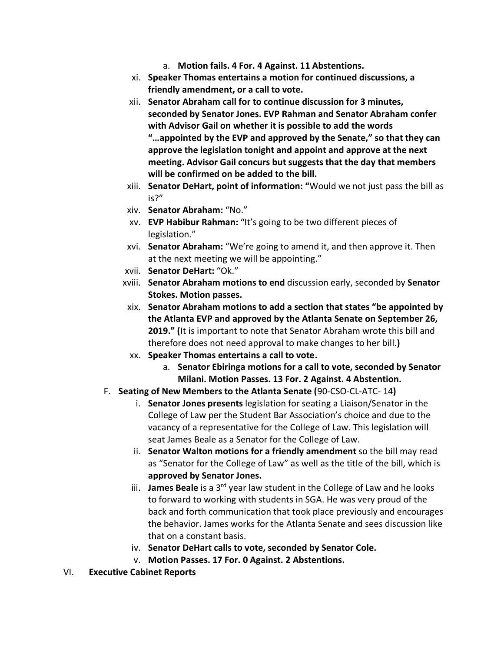- a. **Motion fails. 4 For. 4 Against. 11 Abstentions.**
- xi. **Speaker Thomas entertains a motion for continued discussions, a friendly amendment, or a call to vote.**
- xii. **Senator Abraham call for to continue discussion for 3 minutes, seconded by Senator Jones. EVP Rahman and Senator Abraham confer with Advisor Gail on whether it is possible to add the words "…appointed by the EVP and approved by the Senate," so that they can approve the legislation tonight and appoint and approve at the next meeting. Advisor Gail concurs but suggests that the day that members will be confirmed on be added to the bill.**
- xiii. **Senator DeHart, point of information: "**Would we not just pass the bill as is?"
- xiv. **Senator Abraham:** "No."
- xv. **EVP Habibur Rahman:** "It's going to be two different pieces of legislation."
- xvi. **Senator Abraham:** "We're going to amend it, and then approve it. Then at the next meeting we will be appointing."
- xvii. **Senator DeHart:** "Ok."
- xviii. **Senator Abraham motions to end** discussion early, seconded by **Senator Stokes. Motion passes.**
- xix. **Senator Abraham motions to add a section that states "be appointed by the Atlanta EVP and approved by the Atlanta Senate on September 26, 2019." (**It is important to note that Senator Abraham wrote this bill and therefore does not need approval to make changes to her bill.**)**
- xx. **Speaker Thomas entertains a call to vote.** 
	- a. **Senator Ebiringa motions for a call to vote, seconded by Senator Milani. Motion Passes. 13 For. 2 Against. 4 Abstention.**
- F. **Seating of New Members to the Atlanta Senate (**90-CSO-CL-ATC- 14**)**
	- i. **Senator Jones presents** legislation for seating a Liaison/Senator in the College of Law per the Student Bar Association's choice and due to the vacancy of a representative for the College of Law. This legislation will seat James Beale as a Senator for the College of Law.
	- ii. **Senator Walton motions for a friendly amendment** so the bill may read as "Senator for the College of Law" as well as the title of the bill, which is **approved by Senator Jones.**
	- iii. **James Beale** is a 3rd year law student in the College of Law and he looks to forward to working with students in SGA. He was very proud of the back and forth communication that took place previously and encourages the behavior. James works for the Atlanta Senate and sees discussion like that on a constant basis.
	- iv. **Senator DeHart calls to vote, seconded by Senator Cole.**
	- v. **Motion Passes. 17 For. 0 Against. 2 Abstentions.**
- VI. **Executive Cabinet Reports**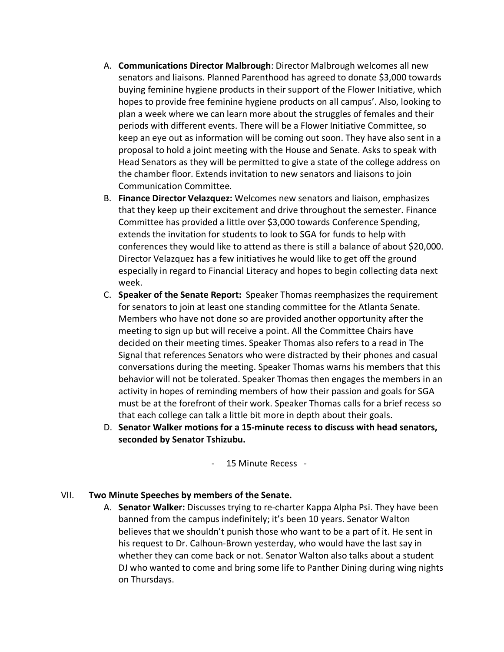- A. **Communications Director Malbrough**: Director Malbrough welcomes all new senators and liaisons. Planned Parenthood has agreed to donate \$3,000 towards buying feminine hygiene products in their support of the Flower Initiative, which hopes to provide free feminine hygiene products on all campus'. Also, looking to plan a week where we can learn more about the struggles of females and their periods with different events. There will be a Flower Initiative Committee, so keep an eye out as information will be coming out soon. They have also sent in a proposal to hold a joint meeting with the House and Senate. Asks to speak with Head Senators as they will be permitted to give a state of the college address on the chamber floor. Extends invitation to new senators and liaisons to join Communication Committee.
- B. **Finance Director Velazquez:** Welcomes new senators and liaison, emphasizes that they keep up their excitement and drive throughout the semester. Finance Committee has provided a little over \$3,000 towards Conference Spending, extends the invitation for students to look to SGA for funds to help with conferences they would like to attend as there is still a balance of about \$20,000. Director Velazquez has a few initiatives he would like to get off the ground especially in regard to Financial Literacy and hopes to begin collecting data next week.
- C. **Speaker of the Senate Report:** Speaker Thomas reemphasizes the requirement for senators to join at least one standing committee for the Atlanta Senate. Members who have not done so are provided another opportunity after the meeting to sign up but will receive a point. All the Committee Chairs have decided on their meeting times. Speaker Thomas also refers to a read in The Signal that references Senators who were distracted by their phones and casual conversations during the meeting. Speaker Thomas warns his members that this behavior will not be tolerated. Speaker Thomas then engages the members in an activity in hopes of reminding members of how their passion and goals for SGA must be at the forefront of their work. Speaker Thomas calls for a brief recess so that each college can talk a little bit more in depth about their goals.
- D. **Senator Walker motions for a 15-minute recess to discuss with head senators, seconded by Senator Tshizubu.**

- 15 Minute Recess -

#### VII. **Two Minute Speeches by members of the Senate.**

A. **Senator Walker:** Discusses trying to re-charter Kappa Alpha Psi. They have been banned from the campus indefinitely; it's been 10 years. Senator Walton believes that we shouldn't punish those who want to be a part of it. He sent in his request to Dr. Calhoun-Brown yesterday, who would have the last say in whether they can come back or not. Senator Walton also talks about a student DJ who wanted to come and bring some life to Panther Dining during wing nights on Thursdays.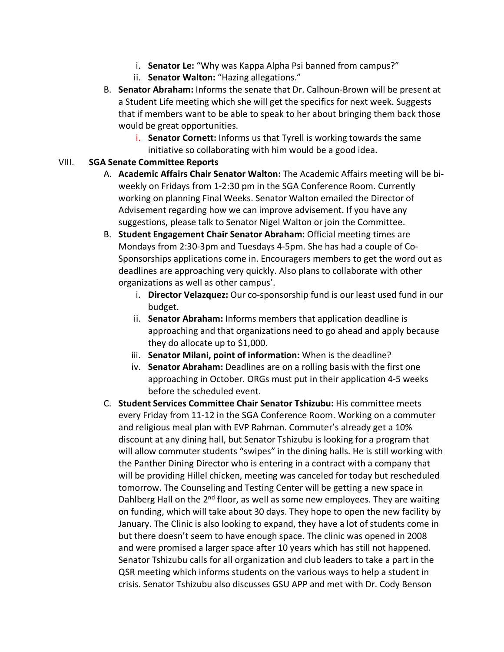- i. **Senator Le:** "Why was Kappa Alpha Psi banned from campus?"
- ii. **Senator Walton:** "Hazing allegations."
- B. **Senator Abraham:** Informs the senate that Dr. Calhoun-Brown will be present at a Student Life meeting which she will get the specifics for next week. Suggests that if members want to be able to speak to her about bringing them back those would be great opportunities.
	- i. **Senator Cornett:** Informs us that Tyrell is working towards the same initiative so collaborating with him would be a good idea.

#### VIII. **SGA Senate Committee Reports**

- A. **Academic Affairs Chair Senator Walton:** The Academic Affairs meeting will be biweekly on Fridays from 1-2:30 pm in the SGA Conference Room. Currently working on planning Final Weeks. Senator Walton emailed the Director of Advisement regarding how we can improve advisement. If you have any suggestions, please talk to Senator Nigel Walton or join the Committee.
- B. **Student Engagement Chair Senator Abraham:** Official meeting times are Mondays from 2:30-3pm and Tuesdays 4-5pm. She has had a couple of Co-Sponsorships applications come in. Encouragers members to get the word out as deadlines are approaching very quickly. Also plans to collaborate with other organizations as well as other campus'.
	- i. **Director Velazquez:** Our co-sponsorship fund is our least used fund in our budget.
	- ii. **Senator Abraham:** Informs members that application deadline is approaching and that organizations need to go ahead and apply because they do allocate up to \$1,000.
	- iii. **Senator Milani, point of information:** When is the deadline?
	- iv. **Senator Abraham:** Deadlines are on a rolling basis with the first one approaching in October. ORGs must put in their application 4-5 weeks before the scheduled event.
- C. **Student Services Committee Chair Senator Tshizubu:** His committee meets every Friday from 11-12 in the SGA Conference Room. Working on a commuter and religious meal plan with EVP Rahman. Commuter's already get a 10% discount at any dining hall, but Senator Tshizubu is looking for a program that will allow commuter students "swipes" in the dining halls. He is still working with the Panther Dining Director who is entering in a contract with a company that will be providing Hillel chicken, meeting was canceled for today but rescheduled tomorrow. The Counseling and Testing Center will be getting a new space in Dahlberg Hall on the  $2^{nd}$  floor, as well as some new employees. They are waiting on funding, which will take about 30 days. They hope to open the new facility by January. The Clinic is also looking to expand, they have a lot of students come in but there doesn't seem to have enough space. The clinic was opened in 2008 and were promised a larger space after 10 years which has still not happened. Senator Tshizubu calls for all organization and club leaders to take a part in the QSR meeting which informs students on the various ways to help a student in crisis. Senator Tshizubu also discusses GSU APP and met with Dr. Cody Benson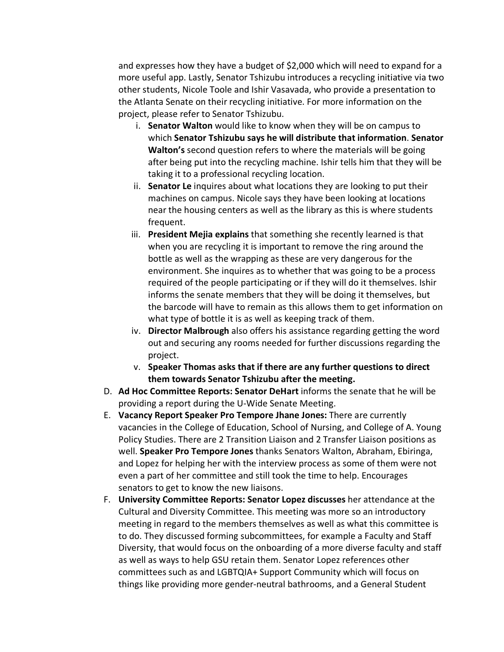and expresses how they have a budget of \$2,000 which will need to expand for a more useful app. Lastly, Senator Tshizubu introduces a recycling initiative via two other students, Nicole Toole and Ishir Vasavada, who provide a presentation to the Atlanta Senate on their recycling initiative. For more information on the project, please refer to Senator Tshizubu.

- i. **Senator Walton** would like to know when they will be on campus to which **Senator Tshizubu says he will distribute that information**. **Senator Walton's** second question refers to where the materials will be going after being put into the recycling machine. Ishir tells him that they will be taking it to a professional recycling location.
- ii. **Senator Le** inquires about what locations they are looking to put their machines on campus. Nicole says they have been looking at locations near the housing centers as well as the library as this is where students frequent.
- iii. **President Mejia explains** that something she recently learned is that when you are recycling it is important to remove the ring around the bottle as well as the wrapping as these are very dangerous for the environment. She inquires as to whether that was going to be a process required of the people participating or if they will do it themselves. Ishir informs the senate members that they will be doing it themselves, but the barcode will have to remain as this allows them to get information on what type of bottle it is as well as keeping track of them.
- iv. **Director Malbrough** also offers his assistance regarding getting the word out and securing any rooms needed for further discussions regarding the project.
- v. **Speaker Thomas asks that if there are any further questions to direct them towards Senator Tshizubu after the meeting.**
- D. **Ad Hoc Committee Reports: Senator DeHart** informs the senate that he will be providing a report during the U-Wide Senate Meeting.
- E. **Vacancy Report Speaker Pro Tempore Jhane Jones:** There are currently vacancies in the College of Education, School of Nursing, and College of A. Young Policy Studies. There are 2 Transition Liaison and 2 Transfer Liaison positions as well. **Speaker Pro Tempore Jones** thanks Senators Walton, Abraham, Ebiringa, and Lopez for helping her with the interview process as some of them were not even a part of her committee and still took the time to help. Encourages senators to get to know the new liaisons.
- F. **University Committee Reports: Senator Lopez discusses** her attendance at the Cultural and Diversity Committee. This meeting was more so an introductory meeting in regard to the members themselves as well as what this committee is to do. They discussed forming subcommittees, for example a Faculty and Staff Diversity, that would focus on the onboarding of a more diverse faculty and staff as well as ways to help GSU retain them. Senator Lopez references other committees such as and LGBTQIA+ Support Community which will focus on things like providing more gender-neutral bathrooms, and a General Student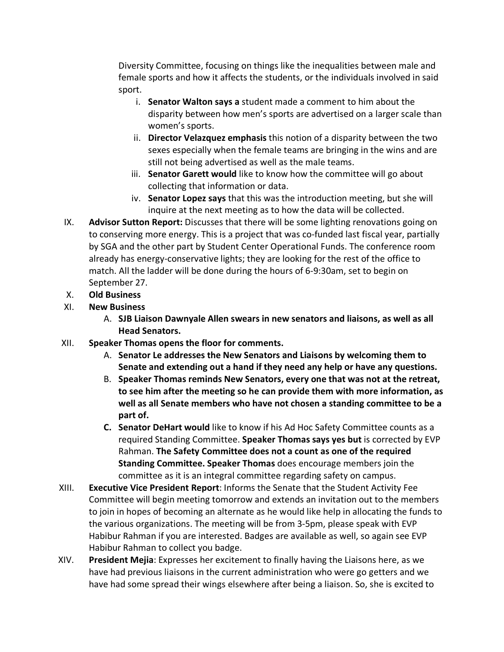Diversity Committee, focusing on things like the inequalities between male and female sports and how it affects the students, or the individuals involved in said sport.

- i. **Senator Walton says a** student made a comment to him about the disparity between how men's sports are advertised on a larger scale than women's sports.
- ii. **Director Velazquez emphasis** this notion of a disparity between the two sexes especially when the female teams are bringing in the wins and are still not being advertised as well as the male teams.
- iii. **Senator Garett would** like to know how the committee will go about collecting that information or data.
- iv. **Senator Lopez says** that this was the introduction meeting, but she will inquire at the next meeting as to how the data will be collected.
- IX. **Advisor Sutton Report:** Discusses that there will be some lighting renovations going on to conserving more energy. This is a project that was co-funded last fiscal year, partially by SGA and the other part by Student Center Operational Funds. The conference room already has energy-conservative lights; they are looking for the rest of the office to match. All the ladder will be done during the hours of 6-9:30am, set to begin on September 27.
- X. **Old Business**
- XI. **New Business**
	- A. **SJB Liaison Dawnyale Allen swears in new senators and liaisons, as well as all Head Senators.**
- XII. **Speaker Thomas opens the floor for comments.**
	- A. **Senator Le addresses the New Senators and Liaisons by welcoming them to Senate and extending out a hand if they need any help or have any questions.**
	- B. **Speaker Thomas reminds New Senators, every one that was not at the retreat, to see him after the meeting so he can provide them with more information, as well as all Senate members who have not chosen a standing committee to be a part of.**
	- **C. Senator DeHart would** like to know if his Ad Hoc Safety Committee counts as a required Standing Committee. **Speaker Thomas says yes but** is corrected by EVP Rahman. **The Safety Committee does not a count as one of the required Standing Committee. Speaker Thomas** does encourage members join the committee as it is an integral committee regarding safety on campus.
- XIII. **Executive Vice President Report**: Informs the Senate that the Student Activity Fee Committee will begin meeting tomorrow and extends an invitation out to the members to join in hopes of becoming an alternate as he would like help in allocating the funds to the various organizations. The meeting will be from 3-5pm, please speak with EVP Habibur Rahman if you are interested. Badges are available as well, so again see EVP Habibur Rahman to collect you badge.
- XIV. **President Mejia**: Expresses her excitement to finally having the Liaisons here, as we have had previous liaisons in the current administration who were go getters and we have had some spread their wings elsewhere after being a liaison. So, she is excited to